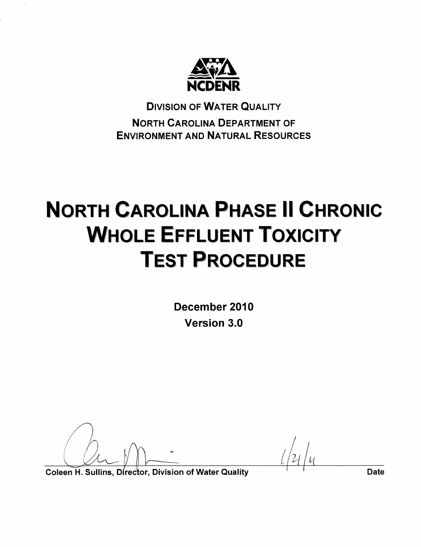

**DIVISION OF WATER QUALITY NORTH CAROLINA DEPARTMENT OF ENVIRONMENT AND NATURAL RESOURCES** 

# **NORTH CAROLINA PHASE II CHRONIC WHOLE EFFLUENT TOXICITY TEST PROCEDURE**

December 2010 **Version 3.0** 

Coleen H. Sullins, Director, Division of Water Quality

**Date**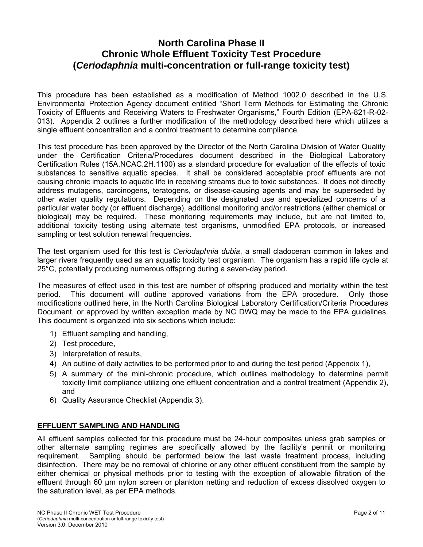## **North Carolina Phase II Chronic Whole Effluent Toxicity Test Procedure (***Ceriodaphnia* **multi-concentration or full-range toxicity test)**

This procedure has been established as a modification of Method 1002.0 described in the U.S. Environmental Protection Agency document entitled "Short Term Methods for Estimating the Chronic Toxicity of Effluents and Receiving Waters to Freshwater Organisms," Fourth Edition (EPA-821-R-02- 013). Appendix 2 outlines a further modification of the methodology described here which utilizes a single effluent concentration and a control treatment to determine compliance.

This test procedure has been approved by the Director of the North Carolina Division of Water Quality under the Certification Criteria/Procedures document described in the Biological Laboratory Certification Rules (15A.NCAC.2H.1100) as a standard procedure for evaluation of the effects of toxic substances to sensitive aquatic species. It shall be considered acceptable proof effluents are not causing chronic impacts to aquatic life in receiving streams due to toxic substances. It does not directly address mutagens, carcinogens, teratogens, or disease-causing agents and may be superseded by other water quality regulations. Depending on the designated use and specialized concerns of a particular water body (or effluent discharge), additional monitoring and/or restrictions (either chemical or biological) may be required. These monitoring requirements may include, but are not limited to, additional toxicity testing using alternate test organisms, unmodified EPA protocols, or increased sampling or test solution renewal frequencies.

The test organism used for this test is *Ceriodaphnia dubia*, a small cladoceran common in lakes and larger rivers frequently used as an aquatic toxicity test organism. The organism has a rapid life cycle at 25°C, potentially producing numerous offspring during a seven-day period.

The measures of effect used in this test are number of offspring produced and mortality within the test period. This document will outline approved variations from the EPA procedure. Only those modifications outlined here, in the North Carolina Biological Laboratory Certification/Criteria Procedures Document, or approved by written exception made by NC DWQ may be made to the EPA guidelines. This document is organized into six sections which include:

- 1) Effluent sampling and handling,
- 2) Test procedure,
- 3) Interpretation of results,
- 4) An outline of daily activities to be performed prior to and during the test period (Appendix 1),
- 5) A summary of the mini-chronic procedure, which outlines methodology to determine permit toxicity limit compliance utilizing one effluent concentration and a control treatment (Appendix 2), and
- 6) Quality Assurance Checklist (Appendix 3).

## **EFFLUENT SAMPLING AND HANDLING**

All effluent samples collected for this procedure must be 24-hour composites unless grab samples or other alternate sampling regimes are specifically allowed by the facility's permit or monitoring requirement. Sampling should be performed below the last waste treatment process, including disinfection. There may be no removal of chlorine or any other effluent constituent from the sample by either chemical or physical methods prior to testing with the exception of allowable filtration of the effluent through 60 µm nylon screen or plankton netting and reduction of excess dissolved oxygen to the saturation level, as per EPA methods.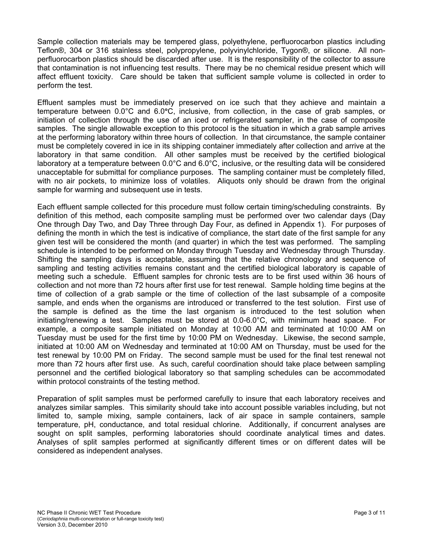Sample collection materials may be tempered glass, polyethylene, perfluorocarbon plastics including Teflon®, 304 or 316 stainless steel, polypropylene, polyvinylchloride, Tygon®, or silicone. All nonperfluorocarbon plastics should be discarded after use. It is the responsibility of the collector to assure that contamination is not influencing test results. There may be no chemical residue present which will affect effluent toxicity. Care should be taken that sufficient sample volume is collected in order to perform the test.

Effluent samples must be immediately preserved on ice such that they achieve and maintain a temperature between 0.0°C and 6.0**°**C, inclusive, from collection, in the case of grab samples, or initiation of collection through the use of an iced or refrigerated sampler, in the case of composite samples. The single allowable exception to this protocol is the situation in which a grab sample arrives at the performing laboratory within three hours of collection. In that circumstance, the sample container must be completely covered in ice in its shipping container immediately after collection and arrive at the laboratory in that same condition. All other samples must be received by the certified biological laboratory at a temperature between 0.0°C and 6.0°C, inclusive, or the resulting data will be considered unacceptable for submittal for compliance purposes. The sampling container must be completely filled, with no air pockets, to minimize loss of volatiles. Aliquots only should be drawn from the original sample for warming and subsequent use in tests.

Each effluent sample collected for this procedure must follow certain timing/scheduling constraints. By definition of this method, each composite sampling must be performed over two calendar days (Day One through Day Two, and Day Three through Day Four, as defined in Appendix 1). For purposes of defining the month in which the test is indicative of compliance, the start date of the first sample for any given test will be considered the month (and quarter) in which the test was performed. The sampling schedule is intended to be performed on Monday through Tuesday and Wednesday through Thursday. Shifting the sampling days is acceptable, assuming that the relative chronology and sequence of sampling and testing activities remains constant and the certified biological laboratory is capable of meeting such a schedule. Effluent samples for chronic tests are to be first used within 36 hours of collection and not more than 72 hours after first use for test renewal. Sample holding time begins at the time of collection of a grab sample or the time of collection of the last subsample of a composite sample, and ends when the organisms are introduced or transferred to the test solution. First use of the sample is defined as the time the last organism is introduced to the test solution when initiating/renewing a test. Samples must be stored at 0.0-6.0°C, with minimum head space. For example, a composite sample initiated on Monday at 10:00 AM and terminated at 10:00 AM on Tuesday must be used for the first time by 10:00 PM on Wednesday. Likewise, the second sample, initiated at 10:00 AM on Wednesday and terminated at 10:00 AM on Thursday, must be used for the test renewal by 10:00 PM on Friday. The second sample must be used for the final test renewal not more than 72 hours after first use. As such, careful coordination should take place between sampling personnel and the certified biological laboratory so that sampling schedules can be accommodated within protocol constraints of the testing method.

Preparation of split samples must be performed carefully to insure that each laboratory receives and analyzes similar samples. This similarity should take into account possible variables including, but not limited to, sample mixing, sample containers, lack of air space in sample containers, sample temperature, pH, conductance, and total residual chlorine. Additionally, if concurrent analyses are sought on split samples, performing laboratories should coordinate analytical times and dates. Analyses of split samples performed at significantly different times or on different dates will be considered as independent analyses.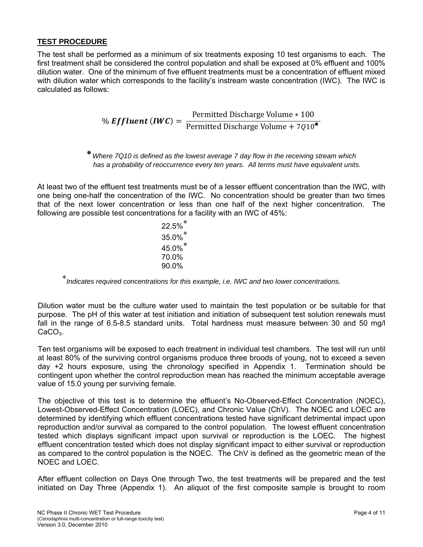## **TEST PROCEDURE**

The test shall be performed as a minimum of six treatments exposing 10 test organisms to each. The first treatment shall be considered the control population and shall be exposed at 0% effluent and 100% dilution water. One of the minimum of five effluent treatments must be a concentration of effluent mixed with dilution water which corresponds to the facility's instream waste concentration (IWC). The IWC is calculated as follows:

% *Effluent (IWC)* = 
$$
\frac{\text{Permitted Discharge Volume} * 100}{\text{Permitted Discharge Volume} + 7Q10^{\mathbf{R}}}
$$

? *Where 7Q10 is defined as the lowest average 7 day flow in the receiving stream which*  has a probability of reoccurrence every ten years. All terms must have equivalent units.

At least two of the effluent test treatments must be of a lesser effluent concentration than the IWC, with one being one-half the concentration of the IWC. No concentration should be greater than two times that of the next lower concentration or less than one half of the next higher concentration. The following are possible test concentrations for a facility with an IWC of 45%:

> 22.5% 35.0% $^{*}$ 45.0% 70.0% 90.0%

*Indicates required concentrations for this example, i.e. IWC and two lower concentrations.* 

Dilution water must be the culture water used to maintain the test population or be suitable for that purpose. The pH of this water at test initiation and initiation of subsequent test solution renewals must fall in the range of 6.5-8.5 standard units. Total hardness must measure between 30 and 50 mg/l CaCO<sub>3</sub>.

Ten test organisms will be exposed to each treatment in individual test chambers. The test will run until at least 80% of the surviving control organisms produce three broods of young, not to exceed a seven day +2 hours exposure, using the chronology specified in Appendix 1. Termination should be contingent upon whether the control reproduction mean has reached the minimum acceptable average value of 15.0 young per surviving female.

The objective of this test is to determine the effluent's No-Observed-Effect Concentration (NOEC), Lowest-Observed-Effect Concentration (LOEC), and Chronic Value (ChV). The NOEC and LOEC are determined by identifying which effluent concentrations tested have significant detrimental impact upon reproduction and/or survival as compared to the control population. The lowest effluent concentration tested which displays significant impact upon survival or reproduction is the LOEC. The highest effluent concentration tested which does not display significant impact to either survival or reproduction as compared to the control population is the NOEC. The ChV is defined as the geometric mean of the NOEC and LOEC.

After effluent collection on Days One through Two, the test treatments will be prepared and the test initiated on Day Three (Appendix 1). An aliquot of the first composite sample is brought to room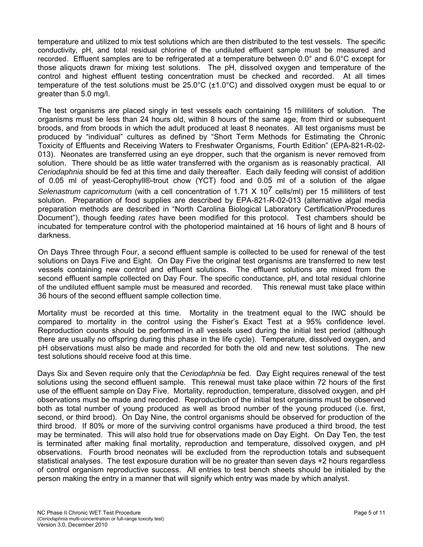temperature and utilized to mix test solutions which are then distributed to the test vessels. The specific conductivity, pH, and total residual chlorine of the undiluted effluent sample must be measured and recorded. Effluent samples are to be refrigerated at a temperature between 0.0° and 6.0°C except for those aliquots drawn for mixing test solutions. The pH, dissolved oxygen and temperature of the control and highest effluent testing concentration must be checked and recorded. At all times temperature of the test solutions must be 25.0°C (±1.0°C) and dissolved oxygen must be equal to or greater than 5.0 mg/l.

The test organisms are placed singly in test vessels each containing 15 milliliters of solution. The organisms must be less than 24 hours old, within 8 hours of the same age, from third or subsequent broods, and from broods in which the adult produced at least 8 neonates. All test organisms must be produced by "individual" cultures as defined by "Short Term Methods for Estimating the Chronic Toxicity of Effluents and Receiving Waters to Freshwater Organisms, Fourth Edition" (EPA-821-R-02- 013). Neonates are transferred using an eye dropper, such that the organism is never removed from solution. There should be as little water transferred with the organism as is reasonably practical. All *Ceriodaphnia* should be fed at this time and daily thereafter. Each daily feeding will consist of addition of 0.05 ml of yeast-Cerophyll®-trout chow (YCT) food and 0.05 ml of a solution of the algae *Selenastrum capricornutum* (with a cell concentration of 1.71 X 107 cells/ml) per 15 milliliters of test solution. Preparation of food supplies are described by EPA-821-R-02-013 (alternative algal media preparation methods are described in "North Carolina Biological Laboratory Certification/Procedures Document"), though feeding *rates* have been modified for this protocol. Test chambers should be incubated for temperature control with the photoperiod maintained at 16 hours of light and 8 hours of darkness.

On Days Three through Four, a second effluent sample is collected to be used for renewal of the test solutions on Days Five and Eight. On Day Five the original test organisms are transferred to new test vessels containing new control and effluent solutions. The effluent solutions are mixed from the second effluent sample collected on Day Four. The specific conductance, pH, and total residual chlorine of the undiluted effluent sample must be measured and recorded. This renewal must take place within 36 hours of the second effluent sample collection time.

Mortality must be recorded at this time. Mortality in the treatment equal to the IWC should be compared to mortality in the control using the Fisher's Exact Test at a 95% confidence level. Reproduction counts should be performed in all vessels used during the initial test period (although there are usually no offspring during this phase in the life cycle). Temperature, dissolved oxygen, and pH observations must also be made and recorded for both the old and new test solutions. The new test solutions should receive food at this time.

Days Six and Seven require only that the *Ceriodaphnia* be fed. Day Eight requires renewal of the test solutions using the second effluent sample. This renewal must take place within 72 hours of the first use of the effluent sample on Day Five. Mortality, reproduction, temperature, dissolved oxygen, and pH observations must be made and recorded. Reproduction of the initial test organisms must be observed both as total number of young produced as well as brood number of the young produced (i.e. first, second, or third brood). On Day Nine, the control organisms should be observed for production of the third brood. If 80% or more of the surviving control organisms have produced a third brood, the test may be terminated. This will also hold true for observations made on Day Eight. On Day Ten, the test is terminated after making final mortality, reproduction and temperature, dissolved oxygen, and pH observations. Fourth brood neonates will be excluded from the reproduction totals and subsequent statistical analyses. The test exposure duration will be no greater than seven days +2 hours regardless of control organism reproductive success. All entries to test bench sheets should be initialed by the person making the entry in a manner that will signify which entry was made by which analyst.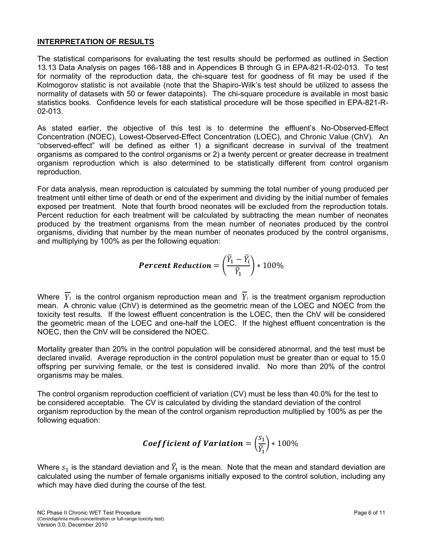## **INTERPRETATION OF RESULTS**

The statistical comparisons for evaluating the test results should be performed as outlined in Section 13.13 Data Analysis on pages 166-188 and in Appendices B through G in EPA-821-R-02-013. To test for normality of the reproduction data, the chi-square test for goodness of fit may be used if the Kolmogorov statistic is not available (note that the Shapiro-Wilk's test should be utilized to assess the normality of datasets with 50 or fewer datapoints). The chi-square procedure is available in most basic statistics books. Confidence levels for each statistical procedure will be those specified in EPA-821-R-02-013.

As stated earlier, the objective of this test is to determine the effluent's No-Observed-Effect Concentration (NOEC), Lowest-Observed-Effect Concentration (LOEC), and Chronic Value (ChV). An "observed-effect" will be defined as either 1) a significant decrease in survival of the treatment organisms as compared to the control organisms or 2) a twenty percent or greater decrease in treatment organism reproduction which is also determined to be statistically different from control organism reproduction.

For data analysis, mean reproduction is calculated by summing the total number of young produced per treatment until either time of death or end of the experiment and dividing by the initial number of females exposed per treatment. Note that fourth brood neonates will be excluded from the reproduction totals. Percent reduction for each treatment will be calculated by subtracting the mean number of neonates produced by the treatment organisms from the mean number of neonates produced by the control organisms, dividing that number by the mean number of neonates produced by the control organisms, and multiplying by 100% as per the following equation:

$$
Percent \; Reduction = \left(\frac{\overline{Y}_1 - \overline{Y}_i}{\overline{Y}_1}\right) * 100\%
$$

Where  $Y_1$  is the control organism reproduction mean and  $Y_i$  is the treatment organism reproduction mean. A chronic value (ChV) is determined as the geometric mean of the LOEC and NOEC from the toxicity test results. If the lowest effluent concentration is the LOEC, then the ChV will be considered the geometric mean of the LOEC and one-half the LOEC. If the highest effluent concentration is the NOEC, then the ChV will be considered the NOEC.

Mortality greater than 20% in the control population will be considered abnormal, and the test must be declared invalid. Average reproduction in the control population must be greater than or equal to 15.0 offspring per surviving female, or the test is considered invalid. No more than 20% of the control organisms may be males.

The control organism reproduction coefficient of variation (CV) must be less than 40.0% for the test to be considered acceptable. The CV is calculated by dividing the standard deviation of the control organism reproduction by the mean of the control organism reproduction multiplied by 100% as per the following equation:

***Coefficient of Variation*** = 
$$
\left(\frac{S_1}{\overline{Y}_1}\right) * 100\%
$$

Where  $s_1$  is the standard deviation and  $\bar{Y}_1$  is the mean. Note that the mean and standard deviation are calculated using the number of female organisms initially exposed to the control solution, including any which may have died during the course of the test.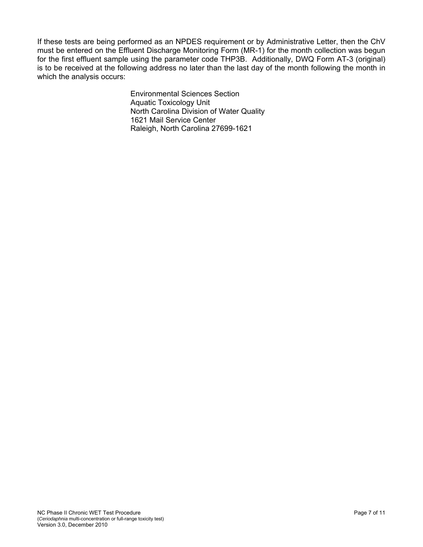If these tests are being performed as an NPDES requirement or by Administrative Letter, then the ChV must be entered on the Effluent Discharge Monitoring Form (MR-1) for the month collection was begun for the first effluent sample using the parameter code THP3B. Additionally, DWQ Form AT-3 (original) is to be received at the following address no later than the last day of the month following the month in which the analysis occurs:

> Environmental Sciences Section Aquatic Toxicology Unit North Carolina Division of Water Quality 1621 Mail Service Center Raleigh, North Carolina 27699-1621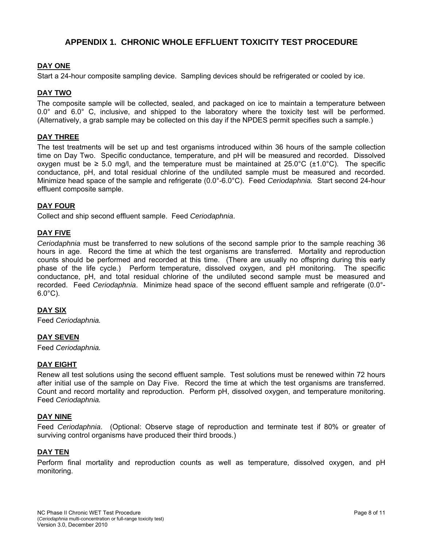## **APPENDIX 1. CHRONIC WHOLE EFFLUENT TOXICITY TEST PROCEDURE**

#### **DAY ONE**

Start a 24-hour composite sampling device. Sampling devices should be refrigerated or cooled by ice.

#### **DAY TWO**

The composite sample will be collected, sealed, and packaged on ice to maintain a temperature between 0.0° and 6.0° C, inclusive, and shipped to the laboratory where the toxicity test will be performed. (Alternatively, a grab sample may be collected on this day if the NPDES permit specifies such a sample.)

#### **DAY THREE**

The test treatments will be set up and test organisms introduced within 36 hours of the sample collection time on Day Two. Specific conductance, temperature, and pH will be measured and recorded. Dissolved oxygen must be ≥ 5.0 mg/l, and the temperature must be maintained at 25.0°C (±1.0°C). The specific conductance, pH, and total residual chlorine of the undiluted sample must be measured and recorded. Minimize head space of the sample and refrigerate (0.0°-6.0°C). Feed *Ceriodaphnia.* Start second 24-hour effluent composite sample.

#### **DAY FOUR**

Collect and ship second effluent sample. Feed *Ceriodaphnia*.

#### **DAY FIVE**

*Ceriodaphnia* must be transferred to new solutions of the second sample prior to the sample reaching 36 hours in age. Record the time at which the test organisms are transferred. Mortality and reproduction counts should be performed and recorded at this time. (There are usually no offspring during this early phase of the life cycle.) Perform temperature, dissolved oxygen, and pH monitoring. The specific conductance, pH, and total residual chlorine of the undiluted second sample must be measured and recorded. Feed *Ceriodaphnia*. Minimize head space of the second effluent sample and refrigerate (0.0°-  $6.0^{\circ}$ C).

#### **DAY SIX**

Feed *Ceriodaphnia.*

#### **DAY SEVEN**

Feed *Ceriodaphnia.*

#### **DAY EIGHT**

Renew all test solutions using the second effluent sample. Test solutions must be renewed within 72 hours after initial use of the sample on Day Five. Record the time at which the test organisms are transferred. Count and record mortality and reproduction. Perform pH, dissolved oxygen, and temperature monitoring. Feed *Ceriodaphnia.* 

#### **DAY NINE**

Feed *Ceriodaphnia*. (Optional: Observe stage of reproduction and terminate test if 80% or greater of surviving control organisms have produced their third broods.)

#### **DAY TEN**

Perform final mortality and reproduction counts as well as temperature, dissolved oxygen, and pH monitoring.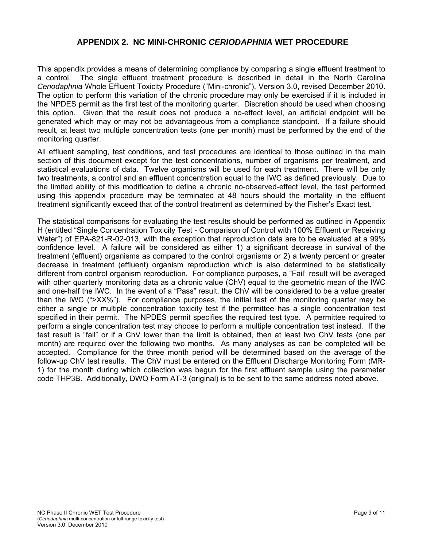## **APPENDIX 2. NC MINI-CHRONIC** *CERIODAPHNIA* **WET PROCEDURE**

This appendix provides a means of determining compliance by comparing a single effluent treatment to a control. The single effluent treatment procedure is described in detail in the North Carolina *Ceriodaphnia* Whole Effluent Toxicity Procedure ("Mini-chronic"), Version 3.0, revised December 2010. The option to perform this variation of the chronic procedure may only be exercised if it is included in the NPDES permit as the first test of the monitoring quarter. Discretion should be used when choosing this option. Given that the result does not produce a no-effect level, an artificial endpoint will be generated which may or may not be advantageous from a compliance standpoint. If a failure should result, at least two multiple concentration tests (one per month) must be performed by the end of the monitoring quarter.

All effluent sampling, test conditions, and test procedures are identical to those outlined in the main section of this document except for the test concentrations, number of organisms per treatment, and statistical evaluations of data. Twelve organisms will be used for each treatment. There will be only two treatments, a control and an effluent concentration equal to the IWC as defined previously. Due to the limited ability of this modification to define a chronic no-observed-effect level, the test performed using this appendix procedure may be terminated at 48 hours should the mortality in the effluent treatment significantly exceed that of the control treatment as determined by the Fisher's Exact test.

The statistical comparisons for evaluating the test results should be performed as outlined in Appendix H (entitled "Single Concentration Toxicity Test - Comparison of Control with 100% Effluent or Receiving Water") of EPA-821-R-02-013, with the exception that reproduction data are to be evaluated at a 99% confidence level. A failure will be considered as either 1) a significant decrease in survival of the treatment (effluent) organisms as compared to the control organisms or 2) a twenty percent or greater decrease in treatment (effluent) organism reproduction which is also determined to be statistically different from control organism reproduction. For compliance purposes, a "Fail" result will be averaged with other quarterly monitoring data as a chronic value (ChV) equal to the geometric mean of the IWC and one-half the IWC. In the event of a "Pass" result, the ChV will be considered to be a value greater than the IWC (">XX%"). For compliance purposes, the initial test of the monitoring quarter may be either a single or multiple concentration toxicity test if the permittee has a single concentration test specified in their permit. The NPDES permit specifies the required test type. A permittee required to perform a single concentration test may choose to perform a multiple concentration test instead. If the test result is "fail" or if a ChV lower than the limit is obtained, then at least two ChV tests (one per month) are required over the following two months. As many analyses as can be completed will be accepted. Compliance for the three month period will be determined based on the average of the follow-up ChV test results. The ChV must be entered on the Effluent Discharge Monitoring Form (MR-1) for the month during which collection was begun for the first effluent sample using the parameter code THP3B. Additionally, DWQ Form AT-3 (original) is to be sent to the same address noted above.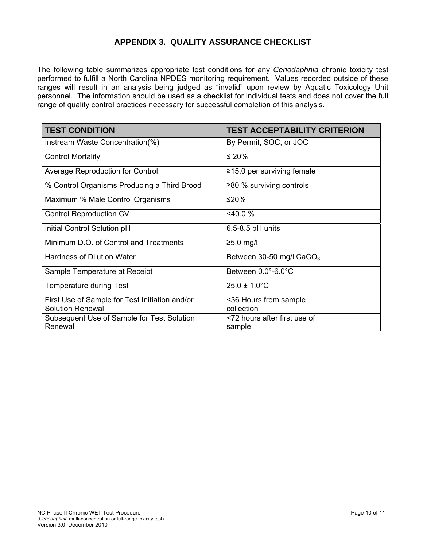## **APPENDIX 3. QUALITY ASSURANCE CHECKLIST**

The following table summarizes appropriate test conditions for any *Ceriodaphnia* chronic toxicity test performed to fulfill a North Carolina NPDES monitoring requirement. Values recorded outside of these ranges will result in an analysis being judged as "invalid" upon review by Aquatic Toxicology Unit personnel. The information should be used as a checklist for individual tests and does not cover the full range of quality control practices necessary for successful completion of this analysis.

| <b>TEST CONDITION</b>                                                     | <b>TEST ACCEPTABILITY CRITERION</b>    |
|---------------------------------------------------------------------------|----------------------------------------|
| Instream Waste Concentration(%)                                           | By Permit, SOC, or JOC                 |
| <b>Control Mortality</b>                                                  | ≤ 20%                                  |
| <b>Average Reproduction for Control</b>                                   | $\ge$ 15.0 per surviving female        |
| % Control Organisms Producing a Third Brood                               | $\geq$ 80 % surviving controls         |
| Maximum % Male Control Organisms                                          | ≤20%                                   |
| <b>Control Reproduction CV</b>                                            | $<$ 40.0 %                             |
| Initial Control Solution pH                                               | $6.5 - 8.5$ pH units                   |
| Minimum D.O. of Control and Treatments                                    | $≥5.0$ mg/l                            |
| <b>Hardness of Dilution Water</b>                                         | Between 30-50 mg/l $CaCO3$             |
| Sample Temperature at Receipt                                             | Between 0.0°-6.0°C                     |
| Temperature during Test                                                   | $25.0 \pm 1.0^{\circ}$ C               |
| First Use of Sample for Test Initiation and/or<br><b>Solution Renewal</b> | <36 Hours from sample<br>collection    |
| Subsequent Use of Sample for Test Solution<br>Renewal                     | <72 hours after first use of<br>sample |